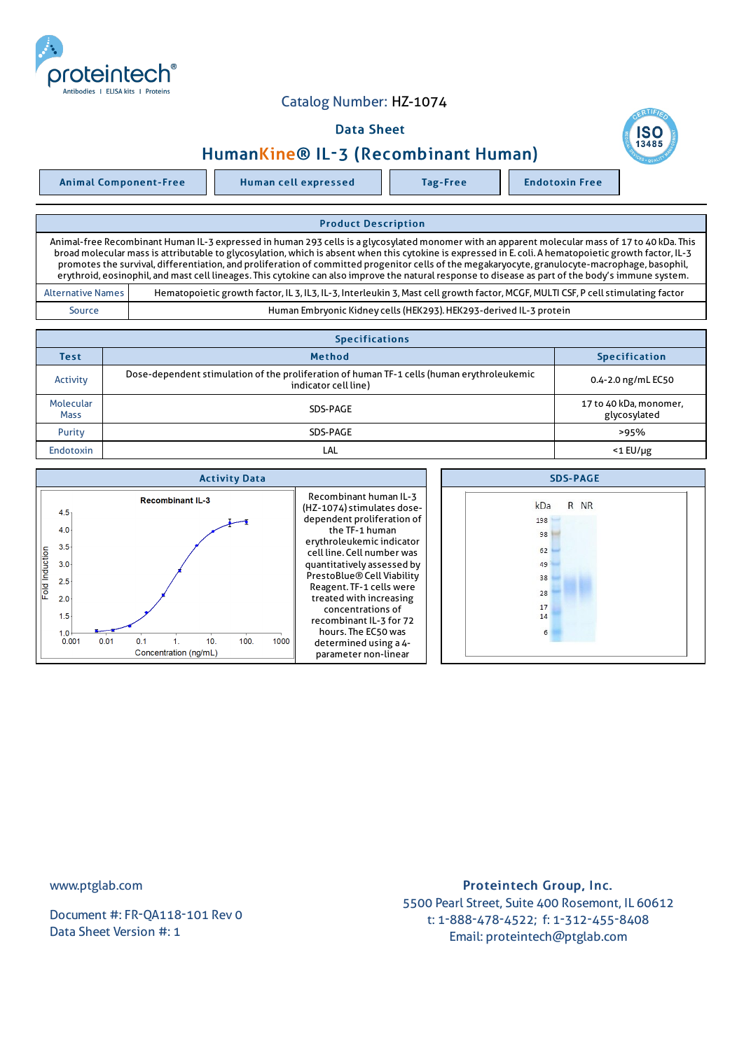

## Catalog Number: HZ-1074

## Data Sheet

## HumanKine® IL-3 (Recombinant Human)

Animal Component-Free Human cell expressed Tag-Free Tag Endotoxin Free

Product Description Animal-free Recombinant Human IL-3 expressed in human 293 cells is a glycosylated monomer with an apparent molecular mass of 17 to 40 kDa. This broad molecular mass is attributable to glycosylation,which is absent when this cytokine is expressed in E. coli. A hematopoietic growth factor, IL-3 promotes the survival, differentiation, and proliferation of committed progenitor cells of the megakaryocyte, granulocyte-macrophage, basophil, erythroid, eosinophil, and mast cell lineages. This cytokine can also improve the natural response to disease as part of the body's immune system. Alternative Names | Hematopoietic growth factor, IL 3, IL3, IL-3, Interleukin 3, Mast cell growth factor, MCGF, MULTI CSF, P cell stimulating factor Source Human Embryonic Kidney cells (HEK293).HEK293-derived IL-3 protein

| <b>Specifications</b>    |                                                                                                                    |                                        |  |  |  |
|--------------------------|--------------------------------------------------------------------------------------------------------------------|----------------------------------------|--|--|--|
| <b>Test</b>              | <b>Method</b>                                                                                                      | <b>Specification</b>                   |  |  |  |
| Activity                 | Dose-dependent stimulation of the proliferation of human TF-1 cells (human erythroleukemic<br>indicator cell line) | 0.4-2.0 ng/mL EC50                     |  |  |  |
| Molecular<br><b>Mass</b> | SDS-PAGE                                                                                                           | 17 to 40 kDa, monomer,<br>glycosylated |  |  |  |
| Purity                   | SDS-PAGE                                                                                                           | >95%                                   |  |  |  |
| <b>Endotoxin</b>         | LAL                                                                                                                | $<$ 1 $E$ U/µg                         |  |  |  |
|                          |                                                                                                                    |                                        |  |  |  |

| <b>Activity Data</b>                                                                                                                                                                                           | <b>SDS-PAGE</b>                                                                                                                                                                                                                                                                                                                                                                                            |                                                                   |
|----------------------------------------------------------------------------------------------------------------------------------------------------------------------------------------------------------------|------------------------------------------------------------------------------------------------------------------------------------------------------------------------------------------------------------------------------------------------------------------------------------------------------------------------------------------------------------------------------------------------------------|-------------------------------------------------------------------|
| <b>Recombinant IL-3</b><br>$4.5 -$<br>4.0<br>$3.5 -$<br>Fold Induction<br>$3.0 -$<br>2.5<br>2.0<br>1.5 <sub>2</sub><br>1.0 <sup>1</sup><br>100.<br>0.001<br>0.01<br>0.1<br>1000<br>10<br>Concentration (ng/mL) | Recombinant human IL-3<br>(HZ-1074) stimulates dose-<br>dependent proliferation of<br>the TF-1 human<br>erythroleukemic indicator<br>cell line. Cell number was<br>quantitatively assessed by<br>PrestoBlue® Cell Viability<br>Reagent. TF-1 cells were<br>treated with increasing<br>concentrations of<br>recombinant IL-3 for 72<br>hours. The EC50 was<br>determined using a 4-<br>parameter non-linear | R NR<br>kDa<br>198<br>98<br>62<br>49<br>38<br>28<br>17<br>14<br>6 |
|                                                                                                                                                                                                                |                                                                                                                                                                                                                                                                                                                                                                                                            |                                                                   |

www.ptglab.com

Document #: FR-QA118-101 Rev 0 Data Sheet Version #: 1

## Proteintech Group, Inc. 5500 Pearl Street, Suite 400 Rosemont, IL 60612 t: 1-888-478-4522; f: 1-312-455-8408 Email: proteintech@ptglab.com